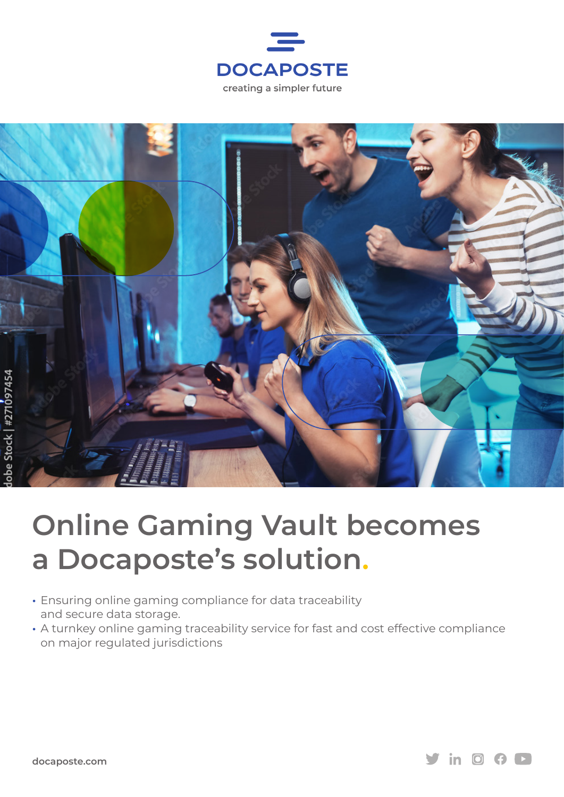



# **Online Gaming Vault becomes a Docaposte's solution.**

- **•** Ensuring online gaming compliance for data traceability and secure data storage.
- **•** A turnkey online gaming traceability service for fast and cost effective compliance on major regulated jurisdictions

 $\mathbf y$  in  $\mathbf 0$   $\mathbf \Omega$   $\mathbf C$